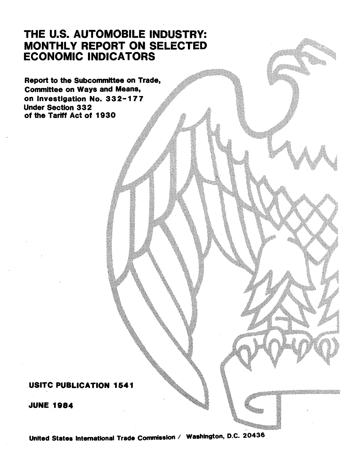# THE U.S. AUTOMOBILE INDUSTRY: MONTHLY REPORT ON SELECTED ECONOMIC INDICATORS

Report to the Subcommittee on Trade, Committee on Ways and Means, on Investigation No. 332-177 Under Section 33 2 of the Tariff Act of 1930

## USITC PUBLICATION 1541

JUNE 1984

United States International Trade Commission / Washington, D.C. 20436

-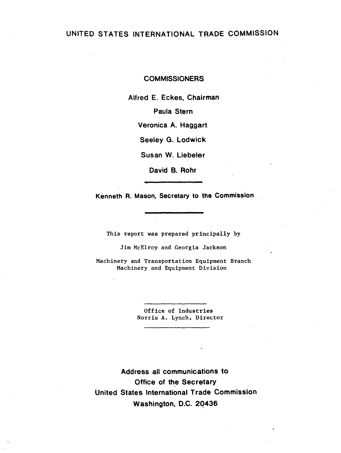## UNITED STATES INTERNATIONAL TRADE COMMISSION

#### **COMMISSIONERS**

Alfred E. Eckes, Chairman

Paula Stern

Veronica A. Haggart

Seeley G. Lodwick

Susan W. Liebeler

David B. Rohr

Kenneth R. Mason, Secretary to the Commission

This report was prepared principally by

Jim McElroy and Georgia Jackson

Machinery and Transportation Equipment Branch Machinery and Equipment Division

> Office of Industries Norris A. Lynch, Director

Address .all communications to Office of the Secretary United States International Trade Commission Washington, D.C. 2Q436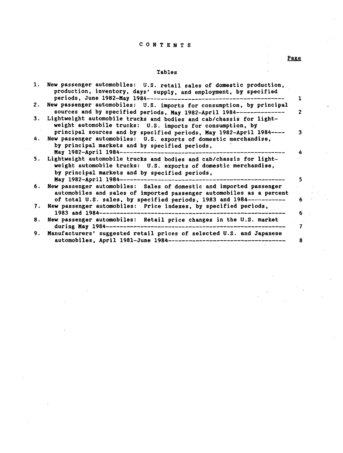### C 0 N T E N T S

#### Tables

|    | 1. New passenger automobiles: U.S. retail sales of domestic production,<br>production, inventory, days' supply, and employment, by specified<br>periods, June 1982-May 1984----------<br>ı                              |
|----|-------------------------------------------------------------------------------------------------------------------------------------------------------------------------------------------------------------------------|
| 2. | New passenger automobiles: U.S. imports for consumption, by principal<br>sources and by specified periods, May 1982-April 1984----------<br>$\overline{2}$                                                              |
| 3. | Lightweight automobile trucks and bodies and cab/chassis for light-<br>weight automobile trucks: U.S. imports for consumption, by<br>principal sources and by specified periods, May 1982-April 1984----<br>٦           |
| 4. | New passenger automobiles: U.S. exports of domestic merchandise,<br>by principal markets and by specified periods,<br>May 1982-April 1984-----------------------                                                        |
| 5. | Lightweight automobile trucks and bodies and cab/chassis for light-<br>weight automobile trucks: U.S. exports of domestic merchandise,<br>by principal markets and by specified periods,<br>May 1982-April 1984-----    |
| 6. | New passenger automobiles: Sales of domestic and imported passenger<br>automobiles and sales of imported passenger automobiles as a percent<br>of total U.S. sales, by specified periods, 1983 and 1984-----------<br>6 |
| 7. | New passenger automobiles: Price indexes, by specified periods,<br>1983 and 1984-----------------<br>6                                                                                                                  |
| 8. | New passenger automobiles: Retail price changes in the U.S. market<br>during May 1984---------------------------                                                                                                        |
| 9. | Manufacturers' suggested retail prices of selected U.S. and Japanese<br>automobiles, April 1981-June 1984------------------------------<br>8                                                                            |

Page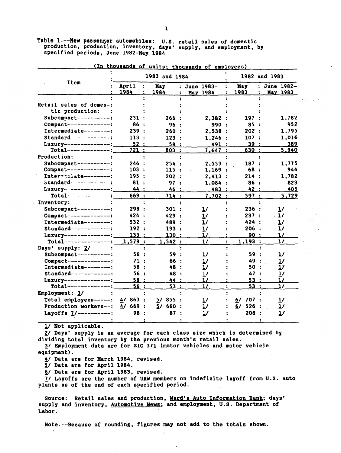Table 1.--New passenger automobiles: U.S. retail sales of domestic production, production, inventory, days' supply, and employment, by specified periods, June 1982-Kay 1984

|                           |               | 1983 and 1984 |                |                                 | 1982 and 1983        |                    |                      |                |  |
|---------------------------|---------------|---------------|----------------|---------------------------------|----------------------|--------------------|----------------------|----------------|--|
| Item                      | April<br>1984 | May<br>1984   | $\ddot{\cdot}$ | : June 1983-<br><b>May 1984</b> | 1983                 | May                | : June 1982-<br>÷    | May 1983       |  |
|                           |               |               |                |                                 |                      |                    |                      |                |  |
| Retail sales of domes-:   |               |               |                |                                 |                      |                    |                      |                |  |
| tic production:           |               |               |                |                                 |                      |                    |                      |                |  |
| Subcompact----------:     | 231 :         |               | 266:           | 2,382:                          |                      | 197                |                      | 1,782          |  |
| Compact-------------:     | 86 :          |               | 96:            | 990 :                           |                      | 85                 |                      | 952            |  |
| Intermediate--------:     | 239 :         |               | 260:           | 2,538:                          |                      | 202:               |                      | 1,795          |  |
| $Standard$ -----------:   | 113:          |               | 123:           | 1,246:                          |                      | 107:               |                      | 1,016          |  |
| Luxury ---------------:   | 52:           |               | 58:            | 491 :                           |                      | 39:                |                      | 389            |  |
| $Total-----$              | 721:          |               | 803:           | 7,647:                          |                      | 630 :              |                      | 5,940          |  |
| Production:               |               |               |                |                                 |                      |                    |                      |                |  |
| Subcompact----------:     | 246 :         |               | 254:           | 2,553                           | $\mathbf{r}$         | 187<br>$\cdot$     |                      | 1,775          |  |
| Compact-------------:     | 103:          |               | 115:           | 1,169:                          |                      | 68<br>$\mathbf{r}$ |                      | 944            |  |
| Interwodiate--------:     | 195 :         |               | 202 :          | 2,413:                          |                      | 214 :              |                      | 1,782          |  |
| $strainard$ ------------: | 81:           |               | 97:            | 1.084:                          |                      | 86<br>$\mathbf{r}$ |                      | 823            |  |
| Luxury---------------:    | 44 :          |               | 46 :           | 483 :                           |                      | 42 :               |                      | 405            |  |
| $Total-----$              | 669 :         |               | 714:           | 7,702:                          |                      | 597 :              |                      | 5,729          |  |
| Inventory:                |               |               |                |                                 |                      |                    |                      |                |  |
| Subcompact----------:     | 298 :         |               | 301:           | $\mathbf{1}$                    |                      | 236 :              |                      | 1/             |  |
| $Compare t-----$          | 424 :         |               | 429 :          | $\mathbf{1}$                    |                      | 237:               |                      | 1/             |  |
| Intermediate--------:     | 532:          |               | 489 :          | $\mathbf{1}$                    |                      | 424 :              |                      | 1/             |  |
| $Standard$ ------------:  | 192 :         |               | 193:           | 1/                              |                      | 206 :              |                      | 1/             |  |
| Luxury--------------:     | 133:          |               | 130:           | $\mathbf{1}$                    |                      | 90 :               |                      | $\mathbf{1}$   |  |
| $Total-----$              | 1,579:        |               | 1.542:         | $\mathbf{1}$                    |                      | 1,193:             |                      | $\mathbf{1}$   |  |
| Days' supply: 2/          |               |               |                |                                 |                      |                    |                      |                |  |
| Subcompact----------:     | 56 :          |               | 59 :           | <u>1</u> /                      |                      | 59:                |                      | $\mathbf{1}$   |  |
| $Compare t--------$       | 71 :          |               | 66 :           | 1/                              |                      | 49 :               |                      | $\frac{1}{2}$  |  |
| Intermediate--------:     | 58:           |               | 48 :           | $\mathbf{1}$                    |                      | 50                 | $\ddot{\phantom{1}}$ | $\overline{1}$ |  |
| $Standard$ ------------:  | 56:           |               | 48 :           | 1/                              |                      | 47                 | $\mathbf{r}$         | $\overline{1}$ |  |
| Luxury--------------;     | 58:           |               | 44 :           | $\mathbf{1}$                    |                      | 53:                |                      | $\mathbf{1}$   |  |
| $Total-----$              | 56:           |               | 53:            | 1/                              | $\ddot{\phantom{a}}$ | 53:                |                      | $\mathbf{1}$   |  |
| Employment: 3/            |               |               |                |                                 |                      |                    |                      |                |  |
| Total employees-----:     | 863:<br>4/    | 57.           | 855:           | $\mathbf{L}^{\prime}$           | 6/                   | 707 :              |                      | 1/             |  |
| Production workers--:     | 669 :<br>4/   | 5/            | 660 :          | 1/                              | 6/                   | 526:               |                      |                |  |
|                           |               |               |                |                                 |                      |                    |                      | 1/             |  |
| Layoffs 7/----------:     | 98            |               | 87:            | 1/                              |                      | 208 :              |                      | $\mathbf{v}$   |  |

(In thousands of units; thousands of employees)

!/ Not applicable.

 $2/$  Days' supply is an average for each class size which is determined by dividing total inventory by the previous month's retail sales.

3/ Employment data are for SIC 371 (motor vehicles and motor vehicle equipment).

!/ Data are for March 1984, revised.

*ii* Data are for April 1984.

6/ Data are for April 1983, revised.

ll Layoffs are the number of UAW members on indefinite layoff from U.S. auto plants as of the end of each specified period.

Source: Retail sales and production, Ward's Auto Information Bank; days' supply and inventory, Automotive News; and employment, U.S. Department of Labor.

Note.--Because of rounding, figures may not add to the totals shown.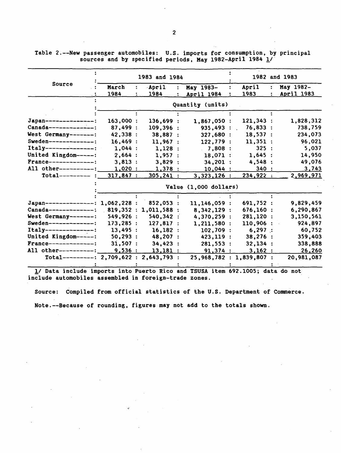|                                         |           | 1983 and 1984 |              |                       |                          |           | 1982 and 1983  |            |
|-----------------------------------------|-----------|---------------|--------------|-----------------------|--------------------------|-----------|----------------|------------|
| Source                                  | March     | ÷             | April        |                       | May 1983-                | April     | $\ddot{\cdot}$ | May 1982-  |
|                                         | 1984      |               | 1984         |                       | April 1984               | 1983      |                | April 1983 |
|                                         |           |               |              |                       | Quantity (units)         |           |                |            |
|                                         |           |               |              |                       |                          |           |                |            |
| Japan--------------:                    | 163,000:  |               | 136,699 :    |                       | 1,867,050:               | 121,343:  |                | 1,828,312  |
| Canada--------------:                   | 87,499:   |               | 109,396:     |                       | 935,493                  | 76,833:   |                | 738,759    |
| West Germany-------:                    | 42,338 :  |               | 38,887:      |                       | 327,680 :                | 18,537:   |                | 234,073    |
| Sweden--------------:                   | 16,469:   |               | 11.967:      |                       | 122,779:                 | 11,351:   |                | 96,021     |
| $Italy-------$                          | 1.044:    |               | 1,128:       |                       | 7,808:                   | 325:      |                | 5,037      |
| United Kingdom-----:                    | 2,664:    |               | 1,957:       |                       | 18,071 :                 | 1,645:    |                | 14,950     |
| France--------------:                   | 3,813:    |               | 3,829:       |                       | 34,201:                  | 4,548 :   |                | 49,076     |
| All other----------:                    | 1,020:    |               | 1,378:       |                       | 10,044:                  | 340:      |                | 3,743      |
| $Total-----$                            | 317,847:  |               | $305, 241$ : |                       | 3,323,126:               | 234,922:  |                | 2,969,971  |
|                                         |           |               |              | Value (1,000 dollars) |                          |           |                |            |
|                                         |           |               |              |                       |                          |           |                |            |
| Japan--------------: 1,062,228 :        |           |               | 852,053 :    |                       | 11,146,059 :             | 691,752 : |                | 9,829,459  |
| Canada--------------: 819,352 :         |           |               | 1,011,588:   |                       | 8,342,129 :              | 676,160:  |                | 6,290,867  |
| West Germany-------:                    | 549,926 : |               | 540,342 :    |                       | 4,370,259 :              | 281,120 : |                | 3,150,561  |
| Sweden--------------:                   | 173,285:  |               | 127,817 :    |                       | 1,211,580:               | 110,906 : |                | 924,897    |
| Italy--------------:                    | 13,495:   |               | 16,182:      |                       | 102,709:                 | $6,297$ : |                | 60,752     |
| United Kingdom-----:                    | 50, 293:  |               | 48,207 :     |                       | 423,119 :                | 38,276:   |                | 359,403    |
| France--------------:                   | 31,507:   |               | 34,423 :     |                       | 281,553 :                | 32,134:   |                | 338,888    |
| All other----------:                    | 9,536:    |               | 13,181:      |                       | 91,374:                  | 3,162:    |                | 26,260     |
| Total---------: 2,709,622 : 2,643,793 : |           |               |              |                       | 25,968,782 : 1,839,807 : |           |                | 20,981,087 |
|                                         |           |               |              |                       |                          |           |                |            |

Table 2.--New passenger automobiles: U.S. imports for consumption, by principal sources and by specified periods, May 1982-April 1984  $1/$ 

1/ Data include imports into Puerto Rico and TSUSA item 692.1005; data do not include automobiles assembled in foreign-trade zones.

Source: Compiled from official statistics of the U.S. Department of Commerce. Note.--Because of rounding, figures may not add to the totals shown.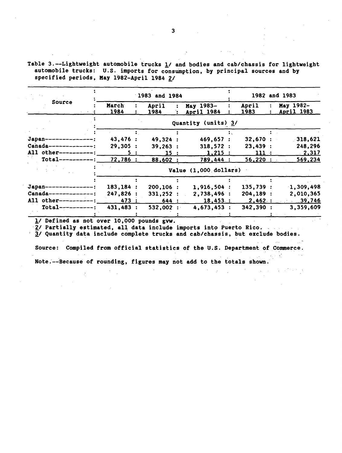Table 3.--Lightweight automobile trucks 1/ and bodies and cab/chassis for lightweight automobile trucks: U.S. imports for consumption, by principal sources and by specified periods, May 1982-April 1984 2/

|                         |                     |     | 1983 and 1984 |  |                       |  |           |  | 1982 and 1983 |  |  |  |  |
|-------------------------|---------------------|-----|---------------|--|-----------------------|--|-----------|--|---------------|--|--|--|--|
| Source                  | March               |     | April         |  | May 1983-             |  | April     |  | May 1982-     |  |  |  |  |
|                         | 1984                |     | 1984          |  | April 1984            |  | 1983      |  | April 1983    |  |  |  |  |
|                         | Quantity (units) 3/ |     |               |  |                       |  |           |  |               |  |  |  |  |
|                         |                     |     |               |  |                       |  |           |  |               |  |  |  |  |
| $Japan$ --------------: | 43,476:             |     | 49,324 :      |  | 469,657 :             |  | 32,670:   |  | $-318,621$    |  |  |  |  |
| $Canada------------$    | 29,305:             |     | 39,263:       |  | 318,572:              |  | 23,439:   |  | 248,296       |  |  |  |  |
| All other----------:    |                     | 5 : | 15:           |  | 1,215:                |  | 111:      |  | 2,317         |  |  |  |  |
| $Total-----$            | 72,786 :            |     | 88,602:       |  | 789,444 :             |  | 56,220:   |  | 569,234       |  |  |  |  |
|                         |                     |     |               |  | Value (1,000 dollars) |  |           |  |               |  |  |  |  |
|                         |                     |     |               |  |                       |  |           |  |               |  |  |  |  |
| Japan--------------     | 183, 184:           |     | $200, 106$ :  |  | 1,916,504:            |  | 135,739:  |  | 1,309,498     |  |  |  |  |
| $Canada-----------$     | 247,826 :           |     | 331,252:      |  | 2,738,496:            |  | 204, 189: |  | 2,010,365     |  |  |  |  |
| All other----------:    | 473 :               |     | 644:          |  | 18,453:               |  | 2,462:    |  | 39,746        |  |  |  |  |
| $Total-----$            | 431,483 :           |     | 532,002:      |  | 4,673,453:            |  | 342,390 : |  | 3,359,609     |  |  |  |  |
|                         |                     |     |               |  |                       |  |           |  |               |  |  |  |  |

. l/ Defined as not over 10,000 pounds gvw.

*·l/* Partially estimated, all data include imports into Puerto Rico.

*11* Quantity data include complete trucks and cab/chassis, but exclude bodies.

Source: Compiled from official statistics of the U.S. Department of Commerce. Note.--Because of rounding, figures may not add to the totals shown.

 $\mathbf{a}$ 

 $\sim$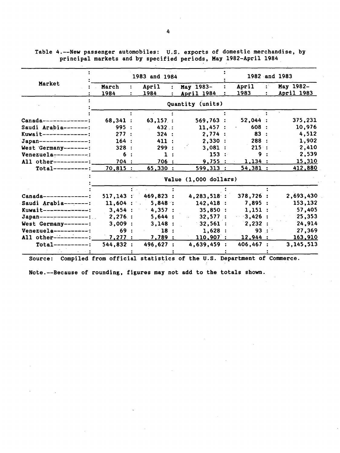$\ddot{\phantom{a}}$ 1983 and 1984 1982 -and 1983 Market : March  $\ddot{\cdot}$ April May 1983- April : May 1982- 1983 1984 1984 April 1984 April 1983  $\ddot{\cdot}$ Quantity (units)  $\ddot{\cdot}$  $\ddot{\cdot}$  $\ddot{\cdot}$  $\ddot{\cdot}$  $\cdot$ Canada--------------: 68,341 : 63,157 : 569,763 : 52,044 : 375,231 Saudi Arabia--------: 995 : 432 : 11,457 : 608 : 10,976<br>
Kuwait--------------: 277 : 324 : 2,774 : 83 : 4,512 Xuwait--------------: 277 : 324 : 2,774 : 83 : 4,512<br>Japan---------------: 164 : 411 : 2,330 : 288 : 1,902 dapan---------------: 164 : 411 : 2,330 : 288 : 1,902<br>
West Germany-------: 328 : 299 : 3,081 : 215 : 2,410 West Germany-------: 328 : 299 : 3,081 : 215 : 2,410<br>Venezuela-----------: 6 : 1 : 153 : 9 : 2,539 Venezuela-----------:: 6 : 1 : 153 : 9 : 2,539<br>All other-----------: 704 : 706 : 9,755 : 1,134 : 15,310 All other----------=~--~7~0~4'-'-\_\_\_ ...;.7~0~6--=-------=-9~,7~5~5::......::.....---=l~,1=3~4=---:: \_\_\_ \_\_:1:..;:5~,~3=1~0 Total----------=~-7~0~·~8=1=5\_\_\_.... \_ \_\_\_;6:..;:5~·=3~3=0\_,\_ \_\_ ---:;5~9=9~,3=1=3~'----=5~4~,3:;..;8:..;:1~----4~1=2~,~8=8~0 Value (1,000 dollars) Ť  $\ddot{\cdot}$ Canada-------------: 517,143: 469,823: 4,283,518: 378,726: 2,693,430<br>Saudi Arabia------: 11,604: 5,848: 142,418: 7,895: 153,132 Saudi Arabia--------:  $11,604$ : 5,848: 142,418 : Kuwait--------------: 3,454: 4,357: 35,850: 1,151: 57,405<br>Japan---------------: 2,276: 5,644: 32,577: 3,426: 25,353  $Japan$ ---------------:.. 2,276 : 5,644 : West Germany-------:  $3,009: 3,148: 32,561: 2,232: 24,914$ Venezuela-----------: 69 : 18 : 1,628 : 93 : 27,369<br>All other-----------: 7,277 : 7,789 : 110,907 : 12,944 : 163,910 Venezuela-----------: 69 : 18 : 1,628 : 93 : 27,369<br>All other------------: 7,277 : 7,789 : 110,907 : 12,944 : 163,910 Total----------: 544,832 : 496,627 : 4,639,459 : 406,467 : 3,145,513

Table 4.--New passenger automobiles: U.S. exports of domestic merchandise, by principal markets and by specified periods, May 1982-April 1984

Source: Compiled from official statistics of the U.S. Department of Commerce.

Note.--Because of rounding, figures may not add to the totals shown.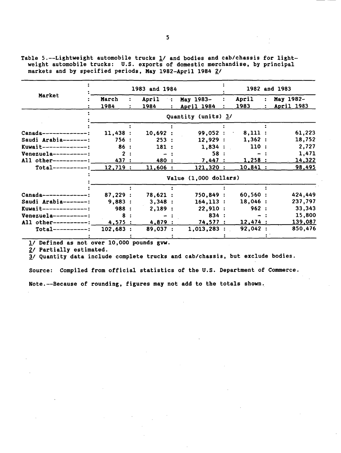Table 5.--Lightweight automobile trucks  $1/$  and bodies and cab/chassis for lightweight automobile trucks: U.S. exports of domestic merchandise, by principal markets and by specified periods, May 1982-April 1984 2/

|                         |                       | 1983 and 1984 |                |                           | 1982 and 1983 |  |            |  |  |  |  |  |  |
|-------------------------|-----------------------|---------------|----------------|---------------------------|---------------|--|------------|--|--|--|--|--|--|
| Market                  | March                 | April         | 不確             | May 1983-<br>$\mathbf{r}$ | April         |  | May 1982-  |  |  |  |  |  |  |
|                         | 1984                  | 1984          | $\ddot{\cdot}$ | April 1984                | 1983          |  | April 1983 |  |  |  |  |  |  |
|                         | Quantity (units) 3/   |               |                |                           |               |  |            |  |  |  |  |  |  |
|                         |                       |               |                |                           |               |  |            |  |  |  |  |  |  |
| $Canada--------------$  | 11,438:               | 10,692:       |                | 99,052:                   | 8,111:        |  | 61,223     |  |  |  |  |  |  |
| Saudi Arabia-------:    | 756:                  | 253:          |                | 12,929:                   | 1,362:        |  | 18,752     |  |  |  |  |  |  |
| Kuwait--------------:   | 86 :                  | 181:          |                | 1,834:                    | 110:          |  | 2,727      |  |  |  |  |  |  |
| $Venezue1a-----$        | 2:                    |               |                | 58 :                      |               |  | 1,471      |  |  |  |  |  |  |
| All other----------:    | 437 :                 | 480 :         |                | 7,447:                    | 1,258:        |  | 14,322     |  |  |  |  |  |  |
| $Total-----: 12,719:$   |                       | 11,606:       |                | 121,320 :                 | 10,841:       |  | 98,495     |  |  |  |  |  |  |
|                         | Value (1,000 dollars) |               |                |                           |               |  |            |  |  |  |  |  |  |
|                         |                       |               |                |                           |               |  |            |  |  |  |  |  |  |
| $Canada-----------$     | 87,229:               | 78,621:       |                | 750,849 :                 | 60,560:       |  | 424,449    |  |  |  |  |  |  |
| Saudi Arabia-------:    | 9,883:                | 3,348:        |                | 164, 113:                 | 18,046:       |  | 237,797    |  |  |  |  |  |  |
| $Kuwait$ -------------: | 988 :                 | 2,189:        |                | 22,910:                   | 962:          |  | 33,343     |  |  |  |  |  |  |
| $Venezuela-----$        | 8:                    |               |                | 834:                      |               |  | 15,800     |  |  |  |  |  |  |
| All other----------:    | 4,575:                | 4,879:        |                | 74,577:                   | 12,474:       |  | 139,087    |  |  |  |  |  |  |
| $Total-----$            | 102,683:              | 89,037:       |                | $1,013,283$ :             | 92,042:       |  | 850,476    |  |  |  |  |  |  |
|                         |                       |               |                |                           |               |  |            |  |  |  |  |  |  |

1/ Defined as not over 10,000 pounds gvw.

*£!* Partially estimated.

 $3/$  Quantity data include complete trucks and cab/chassis, but exclude bodies.

Source: Compiled from official statistics of the U.S. Department of Commerce.

Note.--Because of rounding, figures may not add to the totals shown.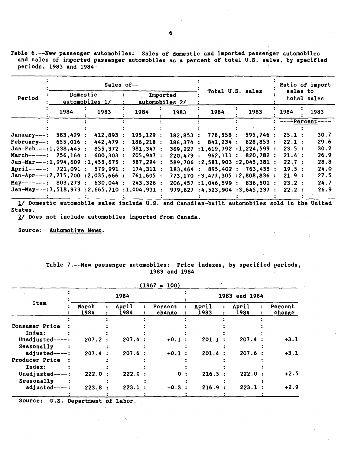Table 6.--New passenger automobiles: Sales of domestic and imported passenger automobiles and sales of imported passenger automobiles as a percent of total U.S. sales, by specified periods, 1983 and 1984

|                                             |          |                | Sales of--                 |  |           |  |                  |  |                                   |  |                     |             | Ratio of import<br>sales to |  |      |  |  |
|---------------------------------------------|----------|----------------|----------------------------|--|-----------|--|------------------|--|-----------------------------------|--|---------------------|-------------|-----------------------------|--|------|--|--|
| Period                                      | Domestic | automobiles 1/ | Imported<br>automobiles 2/ |  |           |  | Total U.S. sales |  |                                   |  |                     | total sales |                             |  |      |  |  |
|                                             | 1984     |                | 1983                       |  | 1984      |  | 1983             |  | 1984                              |  | 1983                |             | 1984                        |  | 1983 |  |  |
|                                             |          |                |                            |  |           |  |                  |  |                                   |  |                     |             | ----Percent-                |  |      |  |  |
|                                             |          |                |                            |  |           |  |                  |  |                                   |  |                     |             |                             |  |      |  |  |
| January---:                                 | 583,429: |                | 412,893 :                  |  | 195, 129: |  | 182,853:         |  | 778,558:                          |  | $-595,746:$         |             | 25.1:                       |  | 30.7 |  |  |
| February--:                                 | 655,016: |                | 442,479 :                  |  | 186, 218: |  | 186.374:         |  | 841,234:                          |  | 628,853:            |             | 22.1:                       |  | 29.6 |  |  |
| $Jan-Feb. --: 1, 238, 445:$                 |          |                | 855,372 :                  |  | 381,347:  |  |                  |  | $369,227$ :1,619,792 :1,224,599 : |  |                     |             | 23.5:                       |  | 30.2 |  |  |
| March-----: 756.164 :                       |          |                | 600,303:                   |  | 205,947:  |  | 220,479:         |  | 962,111:                          |  | 820.782:            |             | 21.4:                       |  | 26.9 |  |  |
| $Jan-Mar---:1,994,609:1,455,675:$           |          |                |                            |  | 587,294:  |  |                  |  | 589,706 :2,581,903 :2,045,381 :   |  |                     |             | 22.7:                       |  | 28.8 |  |  |
| April-----: 721,091 :                       |          |                | 579.991:                   |  | 174,311:  |  | 183.464:         |  |                                   |  | 895,402 : 763,455 : |             | 19.5:                       |  | 24.0 |  |  |
| $Jan-Apr---:2,715,700 ::2,035,666 ::$       |          |                |                            |  | 761,605:  |  |                  |  | 773,170 :3,477,305 :2,808,836 :   |  |                     |             | 21.9:                       |  | 27.5 |  |  |
| May-------: $803,273$ : $630,044$ :         |          |                |                            |  | 243,326:  |  |                  |  | $206,457$ :1,046,599 : 836,501 :  |  |                     |             | 23.2:                       |  | 24.7 |  |  |
| $Jan-May---:3,518,973:2,665,710:1,004,931:$ |          |                |                            |  |           |  |                  |  | 979,627 :4,523,904 :3,645,337 :   |  |                     |             | 22.2:                       |  | 26.9 |  |  |
|                                             |          |                |                            |  |           |  |                  |  |                                   |  |                     |             |                             |  |      |  |  |

!I Domestic automobile sales include U.S. and Canadian-built automobiles sold in the United States.

£1 Does not include automobiles imported from Canada.

Source: Automotive News.

Table 7.--New passenger automobiles: Price indexes, by specified periods, 1983 and 1984

|                 |               |               | $(1967 = 100)$    |                    |               |  |                   |  |  |  |
|-----------------|---------------|---------------|-------------------|--------------------|---------------|--|-------------------|--|--|--|
|                 |               | 1984          |                   |                    | 1983 and 1984 |  |                   |  |  |  |
| Item            | March<br>1984 | April<br>1984 | Percent<br>change | April<br>1983      | April<br>1984 |  | Percent<br>change |  |  |  |
|                 |               |               |                   |                    |               |  |                   |  |  |  |
| Consumer Price  |               |               |                   |                    |               |  |                   |  |  |  |
| Index:          |               |               |                   |                    |               |  |                   |  |  |  |
| Unadjusted----: | 207.2:        | 207.4:        | $+0.1$ :          | 201.1              | 207.4:        |  | $+3.1$            |  |  |  |
| Seasonally      |               |               |                   |                    |               |  |                   |  |  |  |
| adjusted----:   | 207.4:        | 207.6:        | $+0.1$            | 201.4              | 207.6:        |  | $+3.1$            |  |  |  |
| Producer Price  |               |               |                   |                    |               |  |                   |  |  |  |
| Index:          |               |               |                   |                    |               |  |                   |  |  |  |
| Unadjusted----: | 222.0         | 222.0:        | $\Omega$          | 216.5:             | 222.0:        |  | $+2.5$            |  |  |  |
| Seasonally      |               |               |                   |                    |               |  |                   |  |  |  |
| adjusted----:   | 223.8         | 223.1         | $-0.3$            | 216.9<br>$\bullet$ | 223.1         |  | $+2.9$            |  |  |  |

 $\mathbf{v}$ 

Source: U.S. Department of Labor.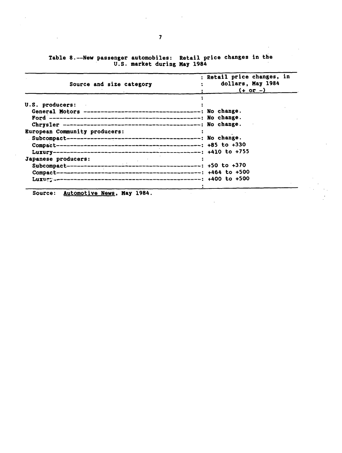|  | Table 8.--New passenger automobiles: Retail price changes in the |                             |  |  |  |
|--|------------------------------------------------------------------|-----------------------------|--|--|--|
|  |                                                                  | U.S. market during May 1984 |  |  |  |

| Source and size category                                                                                                               | : Retail price changes, in<br>dollars, May 1984<br>$( + $ or $- )_+$ |
|----------------------------------------------------------------------------------------------------------------------------------------|----------------------------------------------------------------------|
| U.S. producers:<br>Chrysler $------------------------------------: No change.$<br>European Community producers:<br>Japanese producers: |                                                                      |

 $\mathcal{L}$ 

 $\sim 10^{11}$  km  $^{-1}$ 

 $\mathcal{L}^{\text{max}}_{\text{max}}$ 

 $\mathcal{L}(\mathcal{L}^{\text{max}}_{\mathcal{L}})$  , and  $\mathcal{L}^{\text{max}}_{\mathcal{L}}$ 

 $\mathcal{A}^{\text{out}}$ 

 $\hat{\mathcal{A}}$